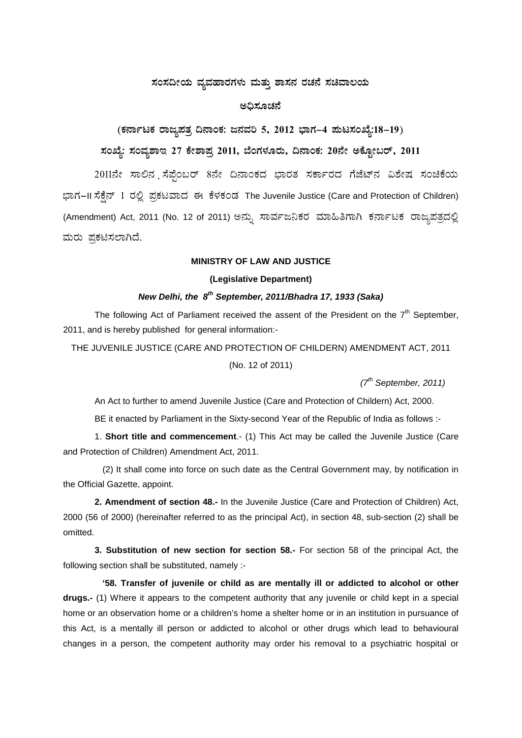## ಸಂಸದೀಯ ವ್ಯವಹಾರಗಳು ಮತ್ತು ಶಾಸನ ರಚನೆ ಸಚಿವಾಲಯ

#### ಅಧಿಸೂಚನೆ

# (ಕರ್ನಾಟಕ ರಾಜ್ಯಪತ್ರ ದಿನಾಂಕ: ಜನವರಿ 5, 2012 ಭಾಗ–4 ಪುಟಸಂಖ್ಯೆ:18–19) ಸಂಖ್ಯೆ: ಸಂವ್ನಶಾಇ 27 ಕೇಶಾಪ್ರ 2011, ಬೆಂಗಳೂರು, ದಿನಾಂಕ: 20ನೇ ಅಕ್ಟೋಬರ್, 2011

2011ನೇ ಸಾಲಿನ ಸೆಪ್ಪೆಂಬರ್ 8ನೇ ದಿನಾಂಕದ ಭಾರತ ಸರ್ಕಾರದ ಗೆಜೆಟ್ನ ವಿಶೇಷ ಸಂಚಿಕೆಯ ಭಾಗ-II ಸೆಕ್ಷೆನ್ 1 ರಲ್ಲಿ ಪ್ರಕಟವಾದ ಈ ಕೆಳಕಂಡ The Juvenile Justice (Care and Protection of Children) (Amendment) Act, 2011 (No. 12 of 2011) ಅನ್ನು ಸಾರ್ವಜನಿಕರ ಮಾಹಿತಿಗಾಗಿ ಕರ್ನಾಟಕ ರಾಜ್ಯಪತ್ರದಲ್ಲಿ ಮರು ಪ್ರಕಟಿಸಲಾಗಿದೆ.

#### **MINISTRY OF LAW AND JUSTICE**

#### (Legislative Department)

### New Delhi, the 8<sup>th</sup> September, 2011/Bhadra 17, 1933 (Saka)

The following Act of Parliament received the assent of the President on the 7<sup>th</sup> September, 2011, and is hereby published for general information:-

THE JUVENILE JUSTICE (CARE AND PROTECTION OF CHILDERN) AMENDMENT ACT, 2011

(No. 12 of 2011)

 $(7<sup>th</sup> September, 2011)$ 

An Act to further to amend Juvenile Justice (Care and Protection of Childern) Act, 2000.

BE it enacted by Parliament in the Sixty-second Year of the Republic of India as follows :-

1. Short title and commencement.- (1) This Act may be called the Juvenile Justice (Care and Protection of Children) Amendment Act, 2011.

(2) It shall come into force on such date as the Central Government may, by notification in the Official Gazette, appoint.

2. Amendment of section 48.- In the Juvenile Justice (Care and Protection of Children) Act, 2000 (56 of 2000) (hereinafter referred to as the principal Act), in section 48, sub-section (2) shall be omitted.

3. Substitution of new section for section 58.- For section 58 of the principal Act, the following section shall be substituted, namely :-

'58. Transfer of juvenile or child as are mentally ill or addicted to alcohol or other drugs.- (1) Where it appears to the competent authority that any juvenile or child kept in a special home or an observation home or a children's home a shelter home or in an institution in pursuance of this Act, is a mentally ill person or addicted to alcohol or other drugs which lead to behavioural changes in a person, the competent authority may order his removal to a psychiatric hospital or